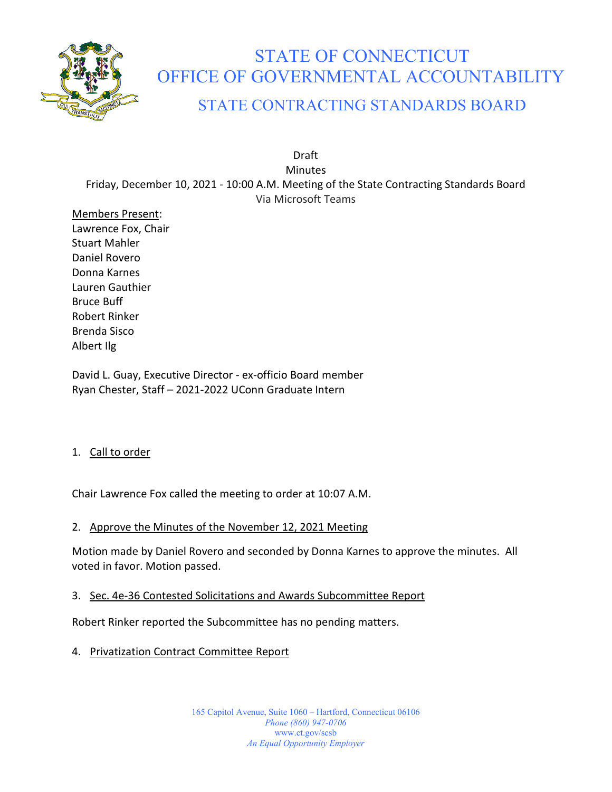

# STATE OF CONNECTICUT OFFICE OF GOVERNMENTAL ACCOUNTABILITY

# STATE CONTRACTING STANDARDS BOARD

Draft **Minutes** Friday, December 10, 2021 - 10:00 A.M. Meeting of the State Contracting Standards Board Via Microsoft Teams

Members Present: Lawrence Fox, Chair Stuart Mahler Daniel Rovero Donna Karnes Lauren Gauthier Bruce Buff Robert Rinker Brenda Sisco Albert Ilg

David L. Guay, Executive Director - ex-officio Board member Ryan Chester, Staff – 2021-2022 UConn Graduate Intern

# 1. Call to order

Chair Lawrence Fox called the meeting to order at 10:07 A.M.

# 2. Approve the Minutes of the November 12, 2021 Meeting

Motion made by Daniel Rovero and seconded by Donna Karnes to approve the minutes. All voted in favor. Motion passed.

# 3. Sec. 4e-36 Contested Solicitations and Awards Subcommittee Report

Robert Rinker reported the Subcommittee has no pending matters.

4. Privatization Contract Committee Report

165 Capitol Avenue, Suite 1060 – Hartford, Connecticut 06106 *Phone (860) 947-0706*  www.ct.gov/scsb *An Equal Opportunity Employer*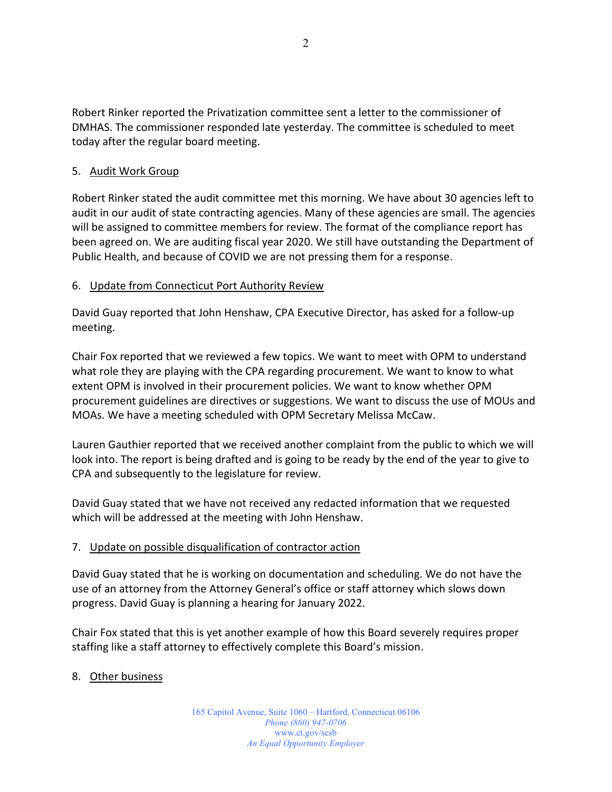Robert Rinker reported the Privatization committee sent a letter to the commissioner of DMHAS. The commissioner responded late yesterday. The committee is scheduled to meet today after the regular board meeting.

# 5. Audit Work Group

Robert Rinker stated the audit committee met this morning. We have about 30 agencies left to audit in our audit of state contracting agencies. Many of these agencies are small. The agencies will be assigned to committee members for review. The format of the compliance report has been agreed on. We are auditing fiscal year 2020. We still have outstanding the Department of Public Health, and because of COVID we are not pressing them for a response.

# 6. Update from Connecticut Port Authority Review

David Guay reported that John Henshaw, CPA Executive Director, has asked for a follow-up meeting.

Chair Fox reported that we reviewed a few topics. We want to meet with OPM to understand what role they are playing with the CPA regarding procurement. We want to know to what extent OPM is involved in their procurement policies. We want to know whether OPM procurement guidelines are directives or suggestions. We want to discuss the use of MOUs and MOAs. We have a meeting scheduled with OPM Secretary Melissa McCaw.

Lauren Gauthier reported that we received another complaint from the public to which we will look into. The report is being drafted and is going to be ready by the end of the year to give to CPA and subsequently to the legislature for review.

David Guay stated that we have not received any redacted information that we requested which will be addressed at the meeting with John Henshaw.

# 7. Update on possible disqualification of contractor action

David Guay stated that he is working on documentation and scheduling. We do not have the use of an attorney from the Attorney General's office or staff attorney which slows down progress. David Guay is planning a hearing for January 2022.

Chair Fox stated that this is yet another example of how this Board severely requires proper staffing like a staff attorney to effectively complete this Board's mission.

# 8. Other business